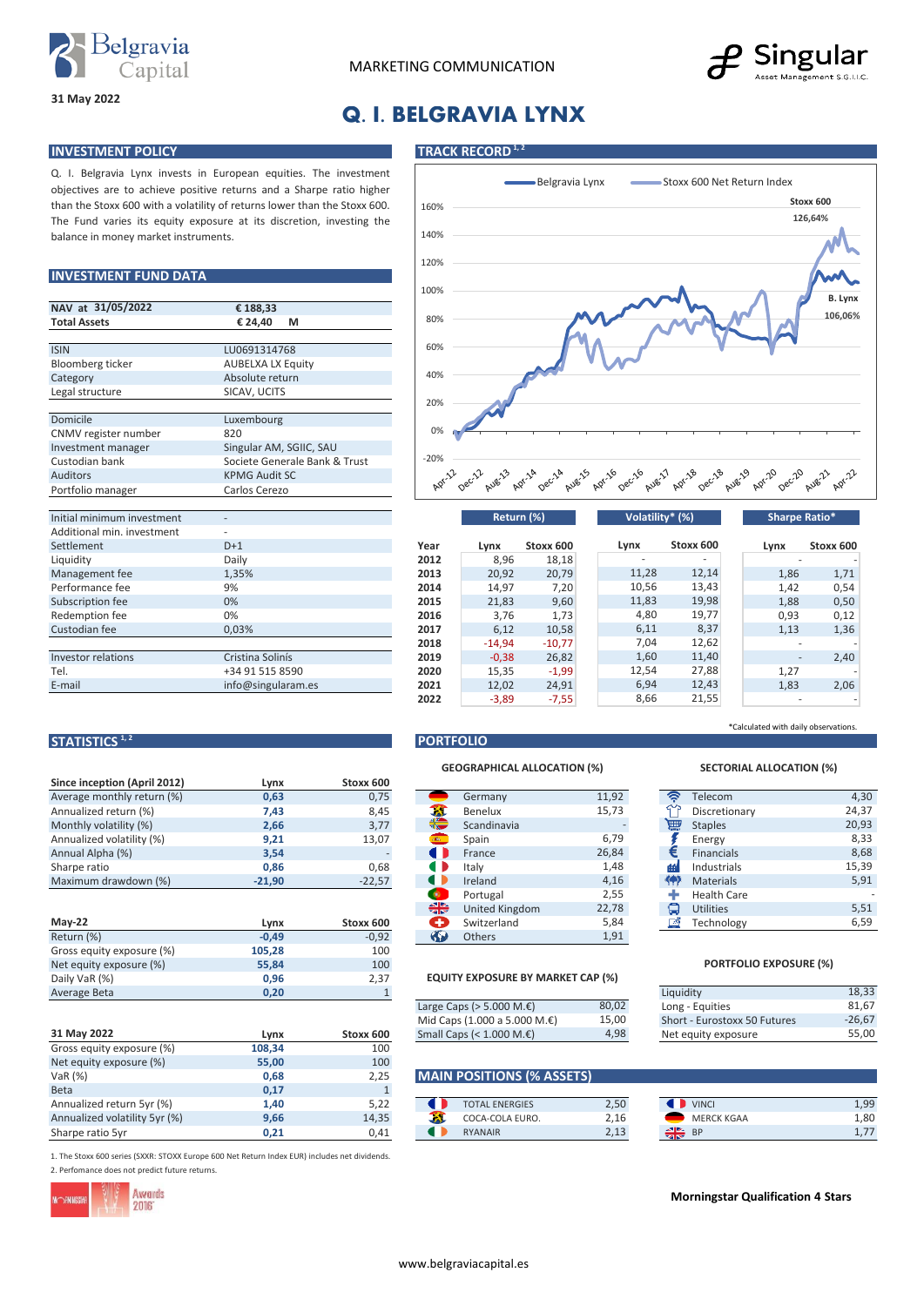



## **Q. I. BELGRAVIA LYNX**

#### **INVESTMENT POLICY TRACK RECORD**<sup>1,2</sup>

**31 May 2022**

Q. I. Belgravia Lynx invests in European equities. The investment objectives are to achieve positive returns and a Sharpe ratio higher than the Stoxx 600 with a volatility of returns lower than the Stoxx 600. The Fund varies its equity exposure at its discretion, investing the balance in money market instruments.

### **INVESTMENT FUND DATA**

| NAV at 31/05/2022          | €188,33                       |  |  |  |
|----------------------------|-------------------------------|--|--|--|
| <b>Total Assets</b>        | € 24.40<br>М                  |  |  |  |
|                            |                               |  |  |  |
| <b>ISIN</b>                | LU0691314768                  |  |  |  |
| Bloomberg ticker           | <b>AUBELXA LX Equity</b>      |  |  |  |
| Category                   | Absolute return               |  |  |  |
| Legal structure            | SICAV, UCITS                  |  |  |  |
|                            |                               |  |  |  |
| Domicile                   | Luxembourg                    |  |  |  |
| CNMV register number       | 820                           |  |  |  |
| Investment manager         | Singular AM, SGIIC, SAU       |  |  |  |
| Custodian bank             | Societe Generale Bank & Trust |  |  |  |
| <b>Auditors</b>            | <b>KPMG Audit SC</b>          |  |  |  |
| Portfolio manager          | Carlos Cerezo                 |  |  |  |
|                            |                               |  |  |  |
| Initial minimum investment |                               |  |  |  |
| Additional min. investment |                               |  |  |  |
| Settlement                 | $D+1$                         |  |  |  |
| Liquidity                  | Daily                         |  |  |  |
| Management fee             | 1,35%                         |  |  |  |
| Performance fee            | 9%                            |  |  |  |
| Subscription fee           | 0%                            |  |  |  |
| Redemption fee             | 0%                            |  |  |  |
| Custodian fee              | 0,03%                         |  |  |  |
|                            |                               |  |  |  |
| <b>Investor relations</b>  | Cristina Solinís              |  |  |  |
| Tel.                       | +34 91 515 8590               |  |  |  |
| E-mail                     | info@singularam.es            |  |  |  |

**Since inception (April 2012) Lynx Stoxx 600**<br>Average monthly return (%) **0,63** 0,75

Return (%) **-0,49** -0,92 Gross equity exposure (%) **105,28** 100 Net equity exposure (%) **55,84** 100<br>Daily VaR (%) **6.5 100**<br>0,96 2,37 Daily VaR (%) **0,96** 2,37<br>Average Beta **0,20** 1

Gross equity exposure (%) **108,34** 100<br>Net equity exposure (%) 55,00 100 Net equity exposure (%) **55,00** 100<br>VaR (%) **55,00** 100<br>0.68 2.25

Beta **0,17** 1 Annualized return 5yr (%) **1,40** 5,22 **C**<br>Annualized volatility 5yr (%) 9,66 14,35 Annualized volatility 5yr (%) **9,66** 14,35<br>
Sharpe ratio 5yr **0,21** 0,41

**Lynx Stoxx 600**<br>108,34 100



| Initial minimum investment | $\overline{\phantom{a}}$ |      | Return (%) |           | Volatility* (%) |           | Sharpe Ratio* |        |           |
|----------------------------|--------------------------|------|------------|-----------|-----------------|-----------|---------------|--------|-----------|
| Additional min. investment |                          |      |            |           |                 |           |               |        |           |
| Settlement                 | $D+1$                    | Year | Lynx       | Stoxx 600 | Lynx            | Stoxx 600 |               | Lynx   | Stoxx 600 |
| Liquidity                  | Daily                    | 2012 | 8,96       | 18,18     |                 |           |               |        |           |
| Management fee             | 1,35%                    | 2013 | 20,92      | 20,79     | 11,28           | 12,14     |               | 1,86   | 1,71      |
| Performance fee            | 9%                       | 2014 | 14,97      | 7,20      | 10,56           | 13,43     |               | 1,42   | 0,54      |
| Subscription fee           | 0%                       | 2015 | 21,83      | 9,60      | 11,83           | 19,98     |               | 1,88   | 0,50      |
| Redemption fee             | 0%                       | 2016 | 3,76       | 1,73      | 4,80            | 19,77     |               | 0,93   | 0,12      |
| Custodian fee              | 0.03%                    | 2017 | 6,12       | 10,58     | 6,11            | 8,37      |               | 1,13   | 1,36      |
|                            |                          | 2018 | $-14,94$   | $-10,77$  | 7,04            | 12,62     |               |        |           |
| <b>Investor relations</b>  | Cristina Solinís         | 2019 | $-0,38$    | 26,82     | 1,60            | 11,40     |               | $\sim$ | 2,40      |
| Tel.                       | +34 91 515 8590          | 2020 | 15,35      | $-1,99$   | 12,54           | 27,88     |               | 1,27   |           |
| E-mail                     | info@singularam.es       | 2021 | 12,02      | 24,91     | 6,94            | 12,43     |               | 1,83   | 2,06      |
|                            |                          | 2022 | $-3,89$    | $-7,55$   | 8,66            | 21,55     |               |        |           |

#### **STATISTICS**<sup>1,2</sup> **PORTFOLIO**

#### **GEOGRAPHICAL ALLOCATION (%)**

| <b>JULE INCONON (ADIII 4014)</b> | LVIIA    | <b>JLUAA UUU</b> |            |                |       |   |                    |
|----------------------------------|----------|------------------|------------|----------------|-------|---|--------------------|
| Average monthly return (%)       | 0,63     | 0,75             |            | Germany        | 11,92 | ় | Telecom            |
| Annualized return (%)            | 7,43     | 8,45             | X          | Benelux        | 15,73 |   | Discretiona        |
| Monthly volatility (%)           | 2,66     | 3,77             | ₩          | Scandinavia    |       | 扁 | <b>Staples</b>     |
| Annualized volatility (%)        | 9,21     | 13,07            |            | Spain          | 6,79  |   | Energy             |
| Annual Alpha (%)                 | 3,54     |                  |            | France         | 26,84 |   | <b>Financials</b>  |
| Sharpe ratio                     | 0,86     | 0,68             |            | Italv          | 1,48  | 価 | Industrials        |
| Maximum drawdown (%)             | $-21,90$ | $-22,57$         |            | Ireland        | 4,16  | 帶 | <b>Materials</b>   |
|                                  |          |                  | ۰          | Portugal       | 2,55  |   | <b>Health Care</b> |
|                                  |          |                  | ╬          | United Kingdom | 22,78 | Q | <b>Utilities</b>   |
| $May-22$                         | Lynx     | Stoxx 600        | A          | Switzerland    | 5,84  | 凾 | Technology         |
| Return (%)                       | $-0,49$  | $-0,92$          | <b>Sal</b> | <b>Others</b>  | 1,91  |   |                    |

#### **EQUITY EXPOSURE BY MARKET CAP (%)**

| Average Beta | 0.20 |           |                                        |       | Liquidity                    |
|--------------|------|-----------|----------------------------------------|-------|------------------------------|
|              |      |           | Large Caps ( $>$ 5.000 M. $\epsilon$ ) | 80,02 | Long - Equities              |
|              |      |           | Mid Caps (1.000 a 5.000 M.€)           | 15.00 | Short - Eurostoxx 50 Futures |
| 31 May 2022  | Lvnx | Stoxx 600 | Small Caps (< $1.000$ M. $\epsilon$ )  | 4,98  | Net equity exposure          |

## VaR (%) **0,68** 2,25 **MAIN POSITIONS (% ASSETS)**

| beld                          | υ,⊥. |             |                       |      |                   |      |
|-------------------------------|------|-------------|-----------------------|------|-------------------|------|
| Annualized return 5yr (%)     | ⊥,40 | ר ה<br>5,ZZ | <b>TOTAL ENERGIES</b> | 2,50 | <b>VINCI</b>      | 1,99 |
| Annualized volatility 5yr (%) | 9,66 | 14,35       | COCA-COLA EURO.       | 2.16 | <b>MERCK KGAA</b> | 1,80 |
| Sharpe ratio 5vr              | U.Z. | 0.41        | <b>RYANAIR</b>        | 2,13 | $\frac{1}{2}$ od  | 1,77 |

1. The Stoxx 600 series (SXXR: STOXX Europe 600 Net Return Index EUR) includes net dividends. 2. Perfomance does not predict future returns.



**31 May 2022**

#### **Morningstar Qualification 4 Stars**

## \*Calculated with daily observations.

| Ŵ.               | Telecom            | 4,30  |
|------------------|--------------------|-------|
|                  | Discretionary      | 24,37 |
| 豐                | <b>Staples</b>     | 20,93 |
| $\sum_{i=1}^{n}$ | Energy             | 8,33  |
|                  | <b>Financials</b>  | 8,68  |
| æl               | Industrials        | 15,39 |
| የቀን              | <b>Materials</b>   | 5,91  |
| ٠                | <b>Health Care</b> |       |
| o                | <b>Utilities</b>   | 5,51  |
| 國                | Technology         | 6,59  |

**SECTORIAL ALLOCATION (%)**

#### **PORTFOLIO EXPOSURE (%)**

| Liquidity                    | 18,33    |
|------------------------------|----------|
| Long - Equities              | 81.67    |
| Short - Eurostoxx 50 Futures | $-26.67$ |
| Net equity exposure          | 55,00    |